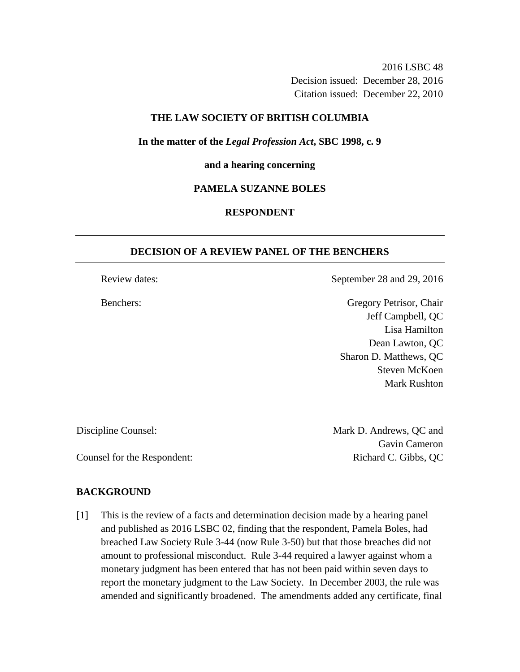2016 LSBC 48 Decision issued: December 28, 2016 Citation issued: December 22, 2010

## **THE LAW SOCIETY OF BRITISH COLUMBIA**

## **In the matter of the** *Legal Profession Act***, SBC 1998, c. 9**

## **and a hearing concerning**

## **PAMELA SUZANNE BOLES**

# **RESPONDENT**

## **DECISION OF A REVIEW PANEL OF THE BENCHERS**

Review dates: September 28 and 29, 2016

Benchers: Gregory Petrisor, Chair Jeff Campbell, QC Lisa Hamilton Dean Lawton, QC Sharon D. Matthews, QC Steven McKoen Mark Rushton

Discipline Counsel: Mark D. Andrews, QC and Gavin Cameron Counsel for the Respondent: Richard C. Gibbs, QC

## **BACKGROUND**

[1] This is the review of a facts and determination decision made by a hearing panel and published as 2016 LSBC 02, finding that the respondent, Pamela Boles, had breached Law Society Rule 3-44 (now Rule 3-50) but that those breaches did not amount to professional misconduct. Rule 3-44 required a lawyer against whom a monetary judgment has been entered that has not been paid within seven days to report the monetary judgment to the Law Society. In December 2003, the rule was amended and significantly broadened. The amendments added any certificate, final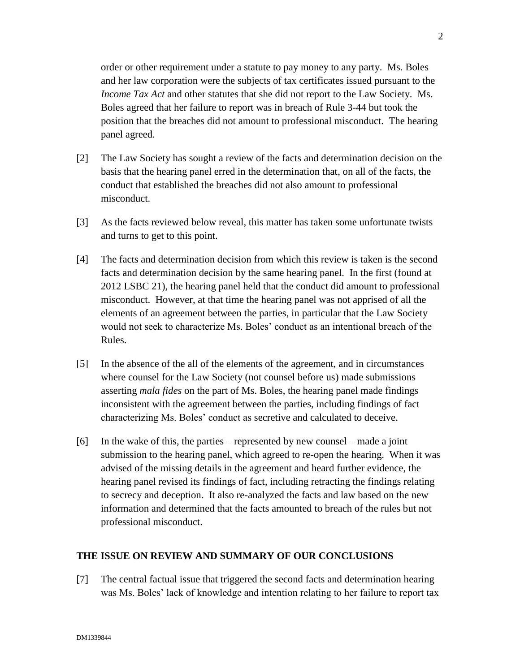order or other requirement under a statute to pay money to any party. Ms. Boles and her law corporation were the subjects of tax certificates issued pursuant to the *Income Tax Act* and other statutes that she did not report to the Law Society. Ms. Boles agreed that her failure to report was in breach of Rule 3-44 but took the position that the breaches did not amount to professional misconduct. The hearing panel agreed.

- [2] The Law Society has sought a review of the facts and determination decision on the basis that the hearing panel erred in the determination that, on all of the facts, the conduct that established the breaches did not also amount to professional misconduct.
- [3] As the facts reviewed below reveal, this matter has taken some unfortunate twists and turns to get to this point.
- [4] The facts and determination decision from which this review is taken is the second facts and determination decision by the same hearing panel. In the first (found at 2012 LSBC 21), the hearing panel held that the conduct did amount to professional misconduct. However, at that time the hearing panel was not apprised of all the elements of an agreement between the parties, in particular that the Law Society would not seek to characterize Ms. Boles' conduct as an intentional breach of the Rules.
- [5] In the absence of the all of the elements of the agreement, and in circumstances where counsel for the Law Society (not counsel before us) made submissions asserting *mala fides* on the part of Ms. Boles, the hearing panel made findings inconsistent with the agreement between the parties, including findings of fact characterizing Ms. Boles' conduct as secretive and calculated to deceive.
- [6] In the wake of this, the parties represented by new counsel made a joint submission to the hearing panel, which agreed to re-open the hearing. When it was advised of the missing details in the agreement and heard further evidence, the hearing panel revised its findings of fact, including retracting the findings relating to secrecy and deception. It also re-analyzed the facts and law based on the new information and determined that the facts amounted to breach of the rules but not professional misconduct.

# **THE ISSUE ON REVIEW AND SUMMARY OF OUR CONCLUSIONS**

[7] The central factual issue that triggered the second facts and determination hearing was Ms. Boles' lack of knowledge and intention relating to her failure to report tax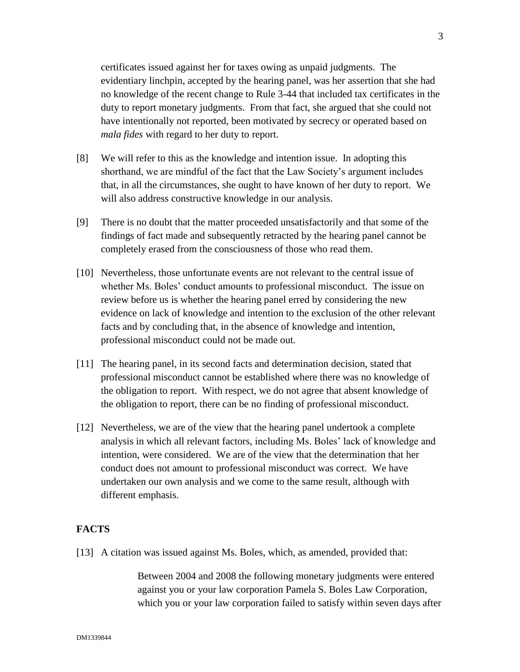certificates issued against her for taxes owing as unpaid judgments. The evidentiary linchpin, accepted by the hearing panel, was her assertion that she had no knowledge of the recent change to Rule 3-44 that included tax certificates in the duty to report monetary judgments. From that fact, she argued that she could not have intentionally not reported, been motivated by secrecy or operated based on *mala fides* with regard to her duty to report.

- [8] We will refer to this as the knowledge and intention issue. In adopting this shorthand, we are mindful of the fact that the Law Society's argument includes that, in all the circumstances, she ought to have known of her duty to report. We will also address constructive knowledge in our analysis.
- [9] There is no doubt that the matter proceeded unsatisfactorily and that some of the findings of fact made and subsequently retracted by the hearing panel cannot be completely erased from the consciousness of those who read them.
- [10] Nevertheless, those unfortunate events are not relevant to the central issue of whether Ms. Boles' conduct amounts to professional misconduct. The issue on review before us is whether the hearing panel erred by considering the new evidence on lack of knowledge and intention to the exclusion of the other relevant facts and by concluding that, in the absence of knowledge and intention, professional misconduct could not be made out.
- [11] The hearing panel, in its second facts and determination decision, stated that professional misconduct cannot be established where there was no knowledge of the obligation to report. With respect, we do not agree that absent knowledge of the obligation to report, there can be no finding of professional misconduct.
- [12] Nevertheless, we are of the view that the hearing panel undertook a complete analysis in which all relevant factors, including Ms. Boles' lack of knowledge and intention, were considered. We are of the view that the determination that her conduct does not amount to professional misconduct was correct. We have undertaken our own analysis and we come to the same result, although with different emphasis.

# **FACTS**

[13] A citation was issued against Ms. Boles, which, as amended, provided that:

Between 2004 and 2008 the following monetary judgments were entered against you or your law corporation Pamela S. Boles Law Corporation, which you or your law corporation failed to satisfy within seven days after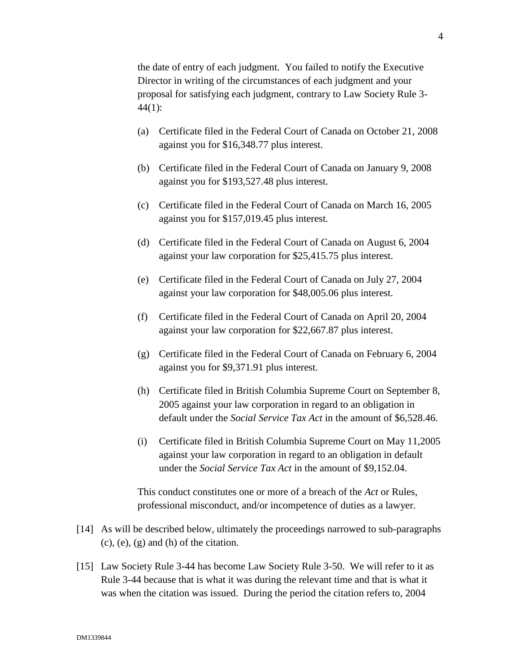the date of entry of each judgment. You failed to notify the Executive Director in writing of the circumstances of each judgment and your proposal for satisfying each judgment, contrary to Law Society Rule 3- 44(1):

- (a) Certificate filed in the Federal Court of Canada on October 21, 2008 against you for \$16,348.77 plus interest.
- (b) Certificate filed in the Federal Court of Canada on January 9, 2008 against you for \$193,527.48 plus interest.
- (c) Certificate filed in the Federal Court of Canada on March 16, 2005 against you for \$157,019.45 plus interest.
- (d) Certificate filed in the Federal Court of Canada on August 6, 2004 against your law corporation for \$25,415.75 plus interest.
- (e) Certificate filed in the Federal Court of Canada on July 27, 2004 against your law corporation for \$48,005.06 plus interest.
- (f) Certificate filed in the Federal Court of Canada on April 20, 2004 against your law corporation for \$22,667.87 plus interest.
- (g) Certificate filed in the Federal Court of Canada on February 6, 2004 against you for \$9,371.91 plus interest.
- (h) Certificate filed in British Columbia Supreme Court on September 8, 2005 against your law corporation in regard to an obligation in default under the *Social Service Tax Act* in the amount of \$6,528.46.
- (i) Certificate filed in British Columbia Supreme Court on May 11,2005 against your law corporation in regard to an obligation in default under the *Social Service Tax Act* in the amount of \$9,152.04.

This conduct constitutes one or more of a breach of the *Act* or Rules, professional misconduct, and/or incompetence of duties as a lawyer.

- [14] As will be described below, ultimately the proceedings narrowed to sub-paragraphs  $(c)$ ,  $(e)$ ,  $(g)$  and  $(h)$  of the citation.
- [15] Law Society Rule 3-44 has become Law Society Rule 3-50. We will refer to it as Rule 3-44 because that is what it was during the relevant time and that is what it was when the citation was issued. During the period the citation refers to, 2004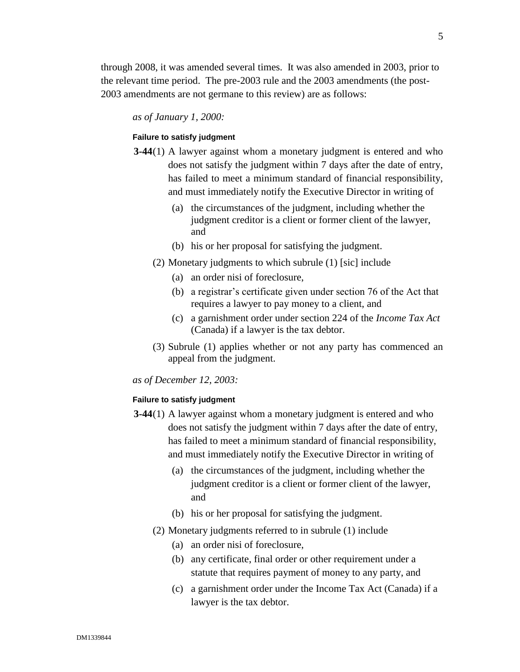through 2008, it was amended several times. It was also amended in 2003, prior to the relevant time period. The pre-2003 rule and the 2003 amendments (the post-2003 amendments are not germane to this review) are as follows:

*as of January 1, 2000:* 

#### **Failure to satisfy judgment**

- **3-44**(1) A lawyer against whom a monetary judgment is entered and who does not satisfy the judgment within 7 days after the date of entry, has failed to meet a minimum standard of financial responsibility, and must immediately notify the Executive Director in writing of
	- (a) the circumstances of the judgment, including whether the judgment creditor is a client or former client of the lawyer, and
	- (b) his or her proposal for satisfying the judgment.
	- (2) Monetary judgments to which subrule (1) [sic] include
		- (a) an order nisi of foreclosure,
		- (b) a registrar's certificate given under section 76 of the Act that requires a lawyer to pay money to a client, and
		- (c) a garnishment order under section 224 of the *Income Tax Act* (Canada) if a lawyer is the tax debtor.
	- (3) Subrule (1) applies whether or not any party has commenced an appeal from the judgment.

*as of December 12, 2003:* 

#### **Failure to satisfy judgment**

- **3-44**(1) A lawyer against whom a monetary judgment is entered and who does not satisfy the judgment within 7 days after the date of entry, has failed to meet a minimum standard of financial responsibility, and must immediately notify the Executive Director in writing of
	- (a) the circumstances of the judgment, including whether the judgment creditor is a client or former client of the lawyer, and
	- (b) his or her proposal for satisfying the judgment.
	- (2) Monetary judgments referred to in subrule (1) include
		- (a) an order nisi of foreclosure,
		- (b) any certificate, final order or other requirement under a statute that requires payment of money to any party, and
		- (c) a garnishment order under the Income Tax Act (Canada) if a lawyer is the tax debtor.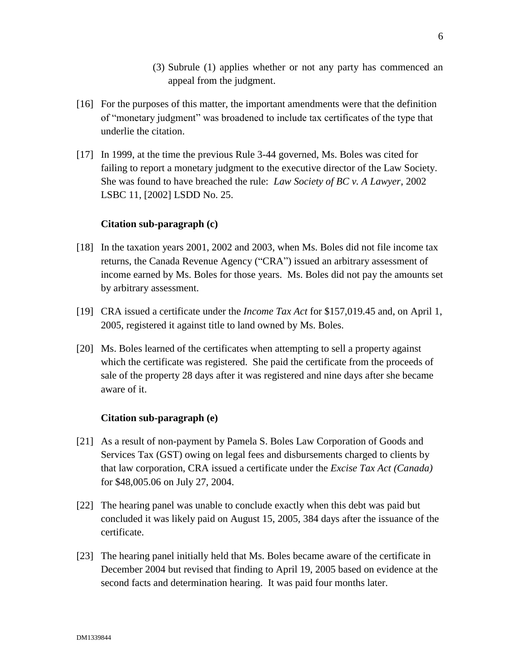- (3) Subrule (1) applies whether or not any party has commenced an appeal from the judgment.
- [16] For the purposes of this matter, the important amendments were that the definition of "monetary judgment" was broadened to include tax certificates of the type that underlie the citation.
- [17] In 1999, at the time the previous Rule 3-44 governed, Ms. Boles was cited for failing to report a monetary judgment to the executive director of the Law Society. She was found to have breached the rule: *Law Society of BC v. A Lawyer*, 2002 LSBC 11, [2002] LSDD No. 25.

# **Citation sub-paragraph (c)**

- [18] In the taxation years 2001, 2002 and 2003, when Ms. Boles did not file income tax returns, the Canada Revenue Agency ("CRA") issued an arbitrary assessment of income earned by Ms. Boles for those years. Ms. Boles did not pay the amounts set by arbitrary assessment.
- [19] CRA issued a certificate under the *Income Tax Act* for \$157,019.45 and, on April 1, 2005, registered it against title to land owned by Ms. Boles.
- [20] Ms. Boles learned of the certificates when attempting to sell a property against which the certificate was registered. She paid the certificate from the proceeds of sale of the property 28 days after it was registered and nine days after she became aware of it.

# **Citation sub-paragraph (e)**

- [21] As a result of non-payment by Pamela S. Boles Law Corporation of Goods and Services Tax (GST) owing on legal fees and disbursements charged to clients by that law corporation, CRA issued a certificate under the *Excise Tax Act (Canada)* for \$48,005.06 on July 27, 2004.
- [22] The hearing panel was unable to conclude exactly when this debt was paid but concluded it was likely paid on August 15, 2005, 384 days after the issuance of the certificate.
- [23] The hearing panel initially held that Ms. Boles became aware of the certificate in December 2004 but revised that finding to April 19, 2005 based on evidence at the second facts and determination hearing. It was paid four months later.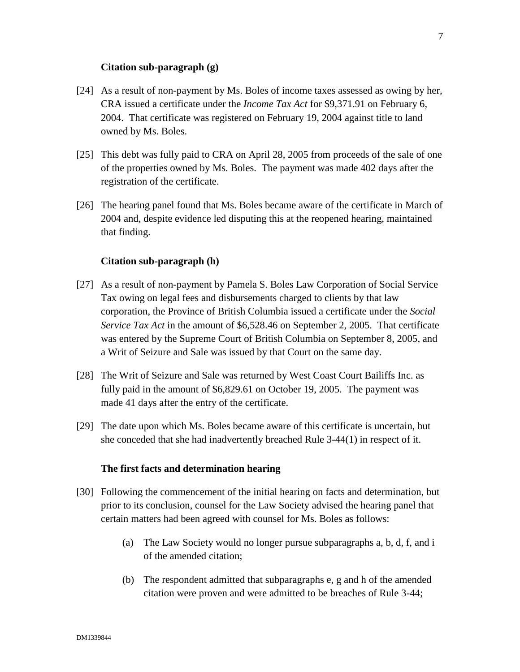#### **Citation sub-paragraph (g)**

- [24] As a result of non-payment by Ms. Boles of income taxes assessed as owing by her, CRA issued a certificate under the *Income Tax Act* for \$9,371.91 on February 6, 2004. That certificate was registered on February 19, 2004 against title to land owned by Ms. Boles.
- [25] This debt was fully paid to CRA on April 28, 2005 from proceeds of the sale of one of the properties owned by Ms. Boles. The payment was made 402 days after the registration of the certificate.
- [26] The hearing panel found that Ms. Boles became aware of the certificate in March of 2004 and, despite evidence led disputing this at the reopened hearing, maintained that finding.

## **Citation sub-paragraph (h)**

- [27] As a result of non-payment by Pamela S. Boles Law Corporation of Social Service Tax owing on legal fees and disbursements charged to clients by that law corporation, the Province of British Columbia issued a certificate under the *Social Service Tax Act* in the amount of \$6,528.46 on September 2, 2005. That certificate was entered by the Supreme Court of British Columbia on September 8, 2005, and a Writ of Seizure and Sale was issued by that Court on the same day.
- [28] The Writ of Seizure and Sale was returned by West Coast Court Bailiffs Inc. as fully paid in the amount of \$6,829.61 on October 19, 2005. The payment was made 41 days after the entry of the certificate.
- [29] The date upon which Ms. Boles became aware of this certificate is uncertain, but she conceded that she had inadvertently breached Rule 3-44(1) in respect of it.

#### **The first facts and determination hearing**

- [30] Following the commencement of the initial hearing on facts and determination, but prior to its conclusion, counsel for the Law Society advised the hearing panel that certain matters had been agreed with counsel for Ms. Boles as follows:
	- (a) The Law Society would no longer pursue subparagraphs a, b, d, f, and i of the amended citation;
	- (b) The respondent admitted that subparagraphs e, g and h of the amended citation were proven and were admitted to be breaches of Rule 3-44;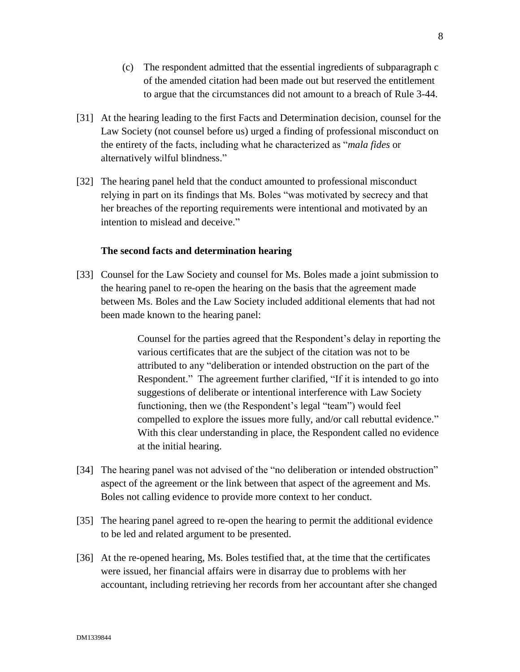- (c) The respondent admitted that the essential ingredients of subparagraph c of the amended citation had been made out but reserved the entitlement to argue that the circumstances did not amount to a breach of Rule 3-44.
- [31] At the hearing leading to the first Facts and Determination decision, counsel for the Law Society (not counsel before us) urged a finding of professional misconduct on the entirety of the facts, including what he characterized as "*mala fides* or alternatively wilful blindness."
- [32] The hearing panel held that the conduct amounted to professional misconduct relying in part on its findings that Ms. Boles "was motivated by secrecy and that her breaches of the reporting requirements were intentional and motivated by an intention to mislead and deceive."

## **The second facts and determination hearing**

[33] Counsel for the Law Society and counsel for Ms. Boles made a joint submission to the hearing panel to re-open the hearing on the basis that the agreement made between Ms. Boles and the Law Society included additional elements that had not been made known to the hearing panel:

> Counsel for the parties agreed that the Respondent's delay in reporting the various certificates that are the subject of the citation was not to be attributed to any "deliberation or intended obstruction on the part of the Respondent." The agreement further clarified, "If it is intended to go into suggestions of deliberate or intentional interference with Law Society functioning, then we (the Respondent's legal "team") would feel compelled to explore the issues more fully, and/or call rebuttal evidence." With this clear understanding in place, the Respondent called no evidence at the initial hearing.

- [34] The hearing panel was not advised of the "no deliberation or intended obstruction" aspect of the agreement or the link between that aspect of the agreement and Ms. Boles not calling evidence to provide more context to her conduct.
- [35] The hearing panel agreed to re-open the hearing to permit the additional evidence to be led and related argument to be presented.
- [36] At the re-opened hearing, Ms. Boles testified that, at the time that the certificates were issued, her financial affairs were in disarray due to problems with her accountant, including retrieving her records from her accountant after she changed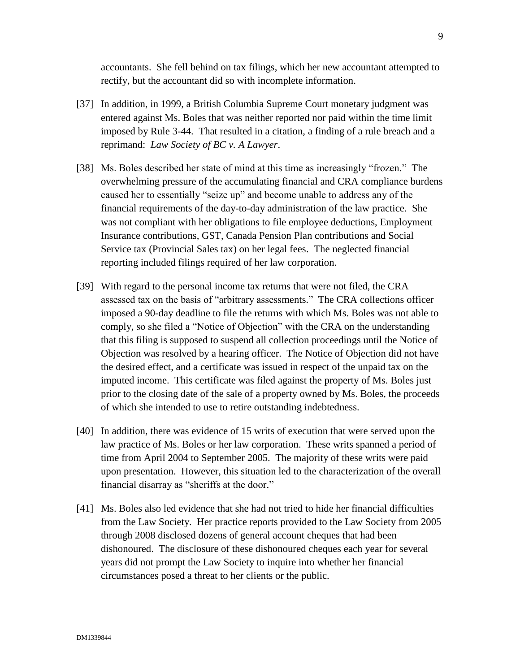accountants. She fell behind on tax filings, which her new accountant attempted to rectify, but the accountant did so with incomplete information.

- [37] In addition, in 1999, a British Columbia Supreme Court monetary judgment was entered against Ms. Boles that was neither reported nor paid within the time limit imposed by Rule 3-44. That resulted in a citation, a finding of a rule breach and a reprimand: *Law Society of BC v. A Lawyer*.
- [38] Ms. Boles described her state of mind at this time as increasingly "frozen." The overwhelming pressure of the accumulating financial and CRA compliance burdens caused her to essentially "seize up" and become unable to address any of the financial requirements of the day-to-day administration of the law practice. She was not compliant with her obligations to file employee deductions, Employment Insurance contributions, GST, Canada Pension Plan contributions and Social Service tax (Provincial Sales tax) on her legal fees. The neglected financial reporting included filings required of her law corporation.
- [39] With regard to the personal income tax returns that were not filed, the CRA assessed tax on the basis of "arbitrary assessments." The CRA collections officer imposed a 90-day deadline to file the returns with which Ms. Boles was not able to comply, so she filed a "Notice of Objection" with the CRA on the understanding that this filing is supposed to suspend all collection proceedings until the Notice of Objection was resolved by a hearing officer. The Notice of Objection did not have the desired effect, and a certificate was issued in respect of the unpaid tax on the imputed income. This certificate was filed against the property of Ms. Boles just prior to the closing date of the sale of a property owned by Ms. Boles, the proceeds of which she intended to use to retire outstanding indebtedness.
- [40] In addition, there was evidence of 15 writs of execution that were served upon the law practice of Ms. Boles or her law corporation. These writs spanned a period of time from April 2004 to September 2005. The majority of these writs were paid upon presentation. However, this situation led to the characterization of the overall financial disarray as "sheriffs at the door."
- [41] Ms. Boles also led evidence that she had not tried to hide her financial difficulties from the Law Society. Her practice reports provided to the Law Society from 2005 through 2008 disclosed dozens of general account cheques that had been dishonoured. The disclosure of these dishonoured cheques each year for several years did not prompt the Law Society to inquire into whether her financial circumstances posed a threat to her clients or the public.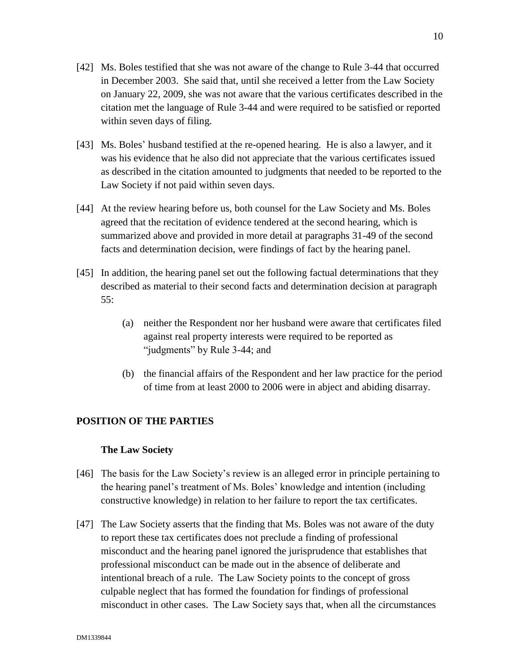- [42] Ms. Boles testified that she was not aware of the change to Rule 3-44 that occurred in December 2003. She said that, until she received a letter from the Law Society on January 22, 2009, she was not aware that the various certificates described in the citation met the language of Rule 3-44 and were required to be satisfied or reported within seven days of filing.
- [43] Ms. Boles' husband testified at the re-opened hearing. He is also a lawyer, and it was his evidence that he also did not appreciate that the various certificates issued as described in the citation amounted to judgments that needed to be reported to the Law Society if not paid within seven days.
- [44] At the review hearing before us, both counsel for the Law Society and Ms. Boles agreed that the recitation of evidence tendered at the second hearing, which is summarized above and provided in more detail at paragraphs 31-49 of the second facts and determination decision, were findings of fact by the hearing panel.
- [45] In addition, the hearing panel set out the following factual determinations that they described as material to their second facts and determination decision at paragraph 55:
	- (a) neither the Respondent nor her husband were aware that certificates filed against real property interests were required to be reported as "judgments" by Rule 3-44; and
	- (b) the financial affairs of the Respondent and her law practice for the period of time from at least 2000 to 2006 were in abject and abiding disarray.

# **POSITION OF THE PARTIES**

# **The Law Society**

- [46] The basis for the Law Society's review is an alleged error in principle pertaining to the hearing panel's treatment of Ms. Boles' knowledge and intention (including constructive knowledge) in relation to her failure to report the tax certificates.
- [47] The Law Society asserts that the finding that Ms. Boles was not aware of the duty to report these tax certificates does not preclude a finding of professional misconduct and the hearing panel ignored the jurisprudence that establishes that professional misconduct can be made out in the absence of deliberate and intentional breach of a rule. The Law Society points to the concept of gross culpable neglect that has formed the foundation for findings of professional misconduct in other cases. The Law Society says that, when all the circumstances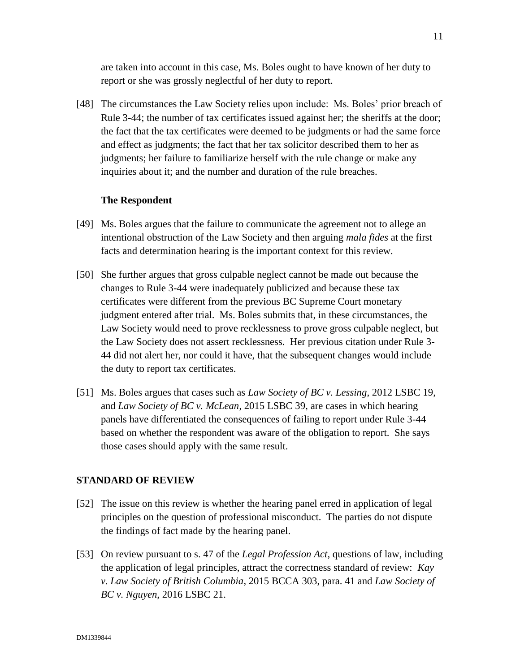are taken into account in this case, Ms. Boles ought to have known of her duty to report or she was grossly neglectful of her duty to report.

[48] The circumstances the Law Society relies upon include: Ms. Boles' prior breach of Rule 3-44; the number of tax certificates issued against her; the sheriffs at the door; the fact that the tax certificates were deemed to be judgments or had the same force and effect as judgments; the fact that her tax solicitor described them to her as judgments; her failure to familiarize herself with the rule change or make any inquiries about it; and the number and duration of the rule breaches.

## **The Respondent**

- [49] Ms. Boles argues that the failure to communicate the agreement not to allege an intentional obstruction of the Law Society and then arguing *mala fides* at the first facts and determination hearing is the important context for this review.
- [50] She further argues that gross culpable neglect cannot be made out because the changes to Rule 3-44 were inadequately publicized and because these tax certificates were different from the previous BC Supreme Court monetary judgment entered after trial. Ms. Boles submits that, in these circumstances, the Law Society would need to prove recklessness to prove gross culpable neglect, but the Law Society does not assert recklessness. Her previous citation under Rule 3- 44 did not alert her, nor could it have, that the subsequent changes would include the duty to report tax certificates.
- [51] Ms. Boles argues that cases such as *Law Society of BC v. Lessing*, 2012 LSBC 19, and *Law Society of BC v. McLean*, 2015 LSBC 39, are cases in which hearing panels have differentiated the consequences of failing to report under Rule 3-44 based on whether the respondent was aware of the obligation to report. She says those cases should apply with the same result.

#### **STANDARD OF REVIEW**

- [52] The issue on this review is whether the hearing panel erred in application of legal principles on the question of professional misconduct. The parties do not dispute the findings of fact made by the hearing panel.
- [53] On review pursuant to s. 47 of the *Legal Profession Act*, questions of law, including the application of legal principles, attract the correctness standard of review: *Kay v. Law Society of British Columbia*, 2015 BCCA 303, para. 41 and *Law Society of BC v. Nguyen*, 2016 LSBC 21.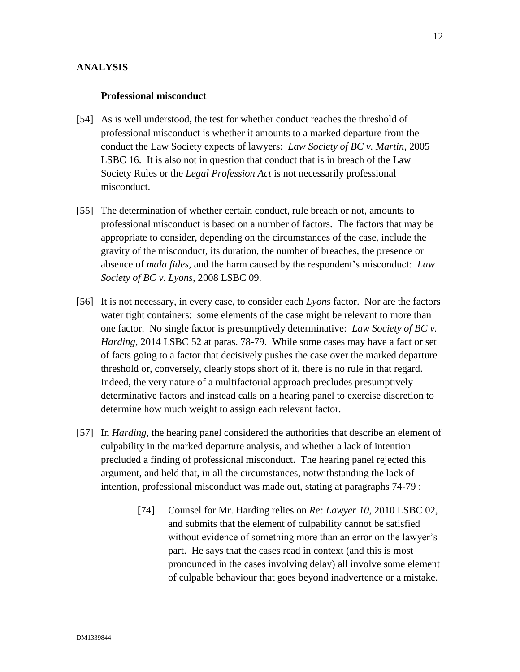## **ANALYSIS**

#### **Professional misconduct**

- [54] As is well understood, the test for whether conduct reaches the threshold of professional misconduct is whether it amounts to a marked departure from the conduct the Law Society expects of lawyers: *Law Society of BC v. Martin*, 2005 LSBC 16. It is also not in question that conduct that is in breach of the Law Society Rules or the *Legal Profession Act* is not necessarily professional misconduct.
- [55] The determination of whether certain conduct, rule breach or not, amounts to professional misconduct is based on a number of factors. The factors that may be appropriate to consider, depending on the circumstances of the case, include the gravity of the misconduct, its duration, the number of breaches, the presence or absence of *mala fides*, and the harm caused by the respondent's misconduct: *Law Society of BC v. Lyons*, 2008 LSBC 09.
- [56] It is not necessary, in every case, to consider each *Lyons* factor. Nor are the factors water tight containers: some elements of the case might be relevant to more than one factor. No single factor is presumptively determinative: *Law Society of BC v. Harding*, 2014 LSBC 52 at paras. 78-79. While some cases may have a fact or set of facts going to a factor that decisively pushes the case over the marked departure threshold or, conversely, clearly stops short of it, there is no rule in that regard. Indeed, the very nature of a multifactorial approach precludes presumptively determinative factors and instead calls on a hearing panel to exercise discretion to determine how much weight to assign each relevant factor.
- [57] In *Harding,* the hearing panel considered the authorities that describe an element of culpability in the marked departure analysis, and whether a lack of intention precluded a finding of professional misconduct. The hearing panel rejected this argument, and held that, in all the circumstances, notwithstanding the lack of intention, professional misconduct was made out, stating at paragraphs 74-79 :
	- [74] Counsel for Mr. Harding relies on *Re: Lawyer 10*, 2010 LSBC 02, and submits that the element of culpability cannot be satisfied without evidence of something more than an error on the lawyer's part. He says that the cases read in context (and this is most pronounced in the cases involving delay) all involve some element of culpable behaviour that goes beyond inadvertence or a mistake.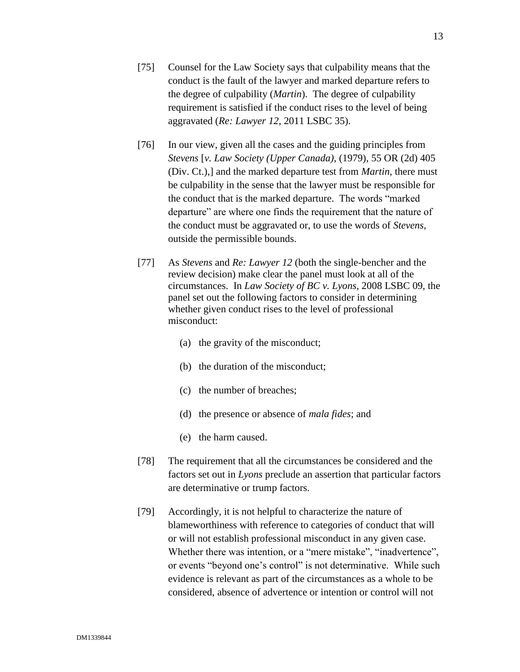- [75] Counsel for the Law Society says that culpability means that the conduct is the fault of the lawyer and marked departure refers to the degree of culpability (*Martin*). The degree of culpability requirement is satisfied if the conduct rises to the level of being aggravated (*Re: Lawyer 12*, 2011 LSBC 35).
- [76] In our view, given all the cases and the guiding principles from *Stevens* [*v. Law Society (Upper Canada)*, (1979), 55 OR (2d) 405 (Div. Ct.),] and the marked departure test from *Martin*, there must be culpability in the sense that the lawyer must be responsible for the conduct that is the marked departure. The words "marked departure" are where one finds the requirement that the nature of the conduct must be aggravated or, to use the words of *Stevens*, outside the permissible bounds.
- [77] As *Stevens* and *Re: Lawyer 12* (both the single-bencher and the review decision) make clear the panel must look at all of the circumstances. In *Law Society of BC v. Lyons*, 2008 LSBC 09, the panel set out the following factors to consider in determining whether given conduct rises to the level of professional misconduct:
	- (a) the gravity of the misconduct;
	- (b) the duration of the misconduct;
	- (c) the number of breaches;
	- (d) the presence or absence of *mala fides*; and
	- (e) the harm caused.
- [78] The requirement that all the circumstances be considered and the factors set out in *Lyons* preclude an assertion that particular factors are determinative or trump factors.
- [79] Accordingly, it is not helpful to characterize the nature of blameworthiness with reference to categories of conduct that will or will not establish professional misconduct in any given case. Whether there was intention, or a "mere mistake", "inadvertence", or events "beyond one's control" is not determinative. While such evidence is relevant as part of the circumstances as a whole to be considered, absence of advertence or intention or control will not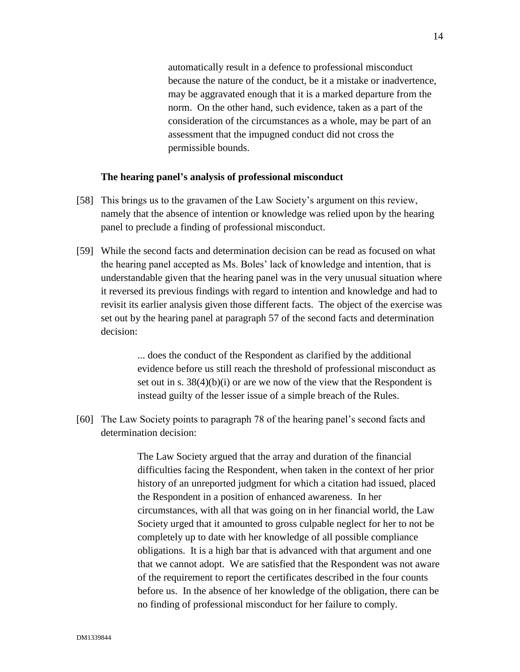automatically result in a defence to professional misconduct because the nature of the conduct, be it a mistake or inadvertence, may be aggravated enough that it is a marked departure from the norm. On the other hand, such evidence, taken as a part of the consideration of the circumstances as a whole, may be part of an assessment that the impugned conduct did not cross the permissible bounds.

## **The hearing panel's analysis of professional misconduct**

- [58] This brings us to the gravamen of the Law Society's argument on this review, namely that the absence of intention or knowledge was relied upon by the hearing panel to preclude a finding of professional misconduct.
- [59] While the second facts and determination decision can be read as focused on what the hearing panel accepted as Ms. Boles' lack of knowledge and intention, that is understandable given that the hearing panel was in the very unusual situation where it reversed its previous findings with regard to intention and knowledge and had to revisit its earlier analysis given those different facts. The object of the exercise was set out by the hearing panel at paragraph 57 of the second facts and determination decision:

... does the conduct of the Respondent as clarified by the additional evidence before us still reach the threshold of professional misconduct as set out in s. 38(4)(b)(i) or are we now of the view that the Respondent is instead guilty of the lesser issue of a simple breach of the Rules.

[60] The Law Society points to paragraph 78 of the hearing panel's second facts and determination decision:

> The Law Society argued that the array and duration of the financial difficulties facing the Respondent, when taken in the context of her prior history of an unreported judgment for which a citation had issued, placed the Respondent in a position of enhanced awareness. In her circumstances, with all that was going on in her financial world, the Law Society urged that it amounted to gross culpable neglect for her to not be completely up to date with her knowledge of all possible compliance obligations. It is a high bar that is advanced with that argument and one that we cannot adopt. We are satisfied that the Respondent was not aware of the requirement to report the certificates described in the four counts before us. In the absence of her knowledge of the obligation, there can be no finding of professional misconduct for her failure to comply.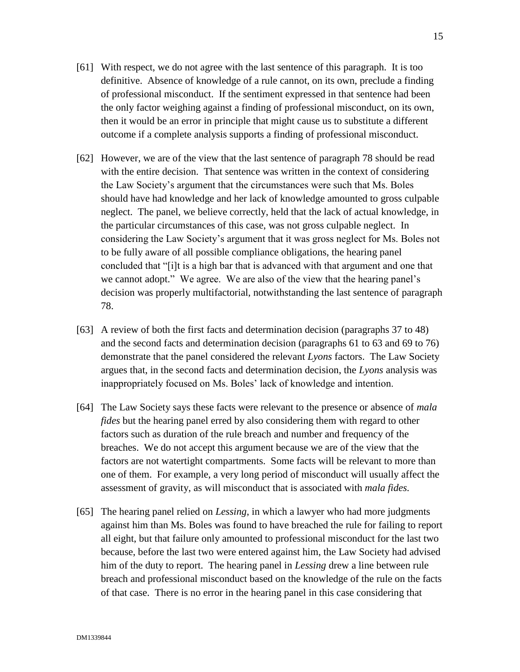- [61] With respect, we do not agree with the last sentence of this paragraph. It is too definitive. Absence of knowledge of a rule cannot, on its own, preclude a finding of professional misconduct. If the sentiment expressed in that sentence had been the only factor weighing against a finding of professional misconduct, on its own, then it would be an error in principle that might cause us to substitute a different outcome if a complete analysis supports a finding of professional misconduct.
- [62] However, we are of the view that the last sentence of paragraph 78 should be read with the entire decision. That sentence was written in the context of considering the Law Society's argument that the circumstances were such that Ms. Boles should have had knowledge and her lack of knowledge amounted to gross culpable neglect. The panel, we believe correctly, held that the lack of actual knowledge, in the particular circumstances of this case, was not gross culpable neglect. In considering the Law Society's argument that it was gross neglect for Ms. Boles not to be fully aware of all possible compliance obligations, the hearing panel concluded that "[i]t is a high bar that is advanced with that argument and one that we cannot adopt." We agree. We are also of the view that the hearing panel's decision was properly multifactorial, notwithstanding the last sentence of paragraph 78.
- [63] A review of both the first facts and determination decision (paragraphs 37 to 48) and the second facts and determination decision (paragraphs 61 to 63 and 69 to 76) demonstrate that the panel considered the relevant *Lyons* factors. The Law Society argues that, in the second facts and determination decision, the *Lyons* analysis was inappropriately focused on Ms. Boles' lack of knowledge and intention.
- [64] The Law Society says these facts were relevant to the presence or absence of *mala fides* but the hearing panel erred by also considering them with regard to other factors such as duration of the rule breach and number and frequency of the breaches. We do not accept this argument because we are of the view that the factors are not watertight compartments. Some facts will be relevant to more than one of them. For example, a very long period of misconduct will usually affect the assessment of gravity, as will misconduct that is associated with *mala fides.*
- [65] The hearing panel relied on *Lessing*, in which a lawyer who had more judgments against him than Ms. Boles was found to have breached the rule for failing to report all eight, but that failure only amounted to professional misconduct for the last two because, before the last two were entered against him, the Law Society had advised him of the duty to report. The hearing panel in *Lessing* drew a line between rule breach and professional misconduct based on the knowledge of the rule on the facts of that case. There is no error in the hearing panel in this case considering that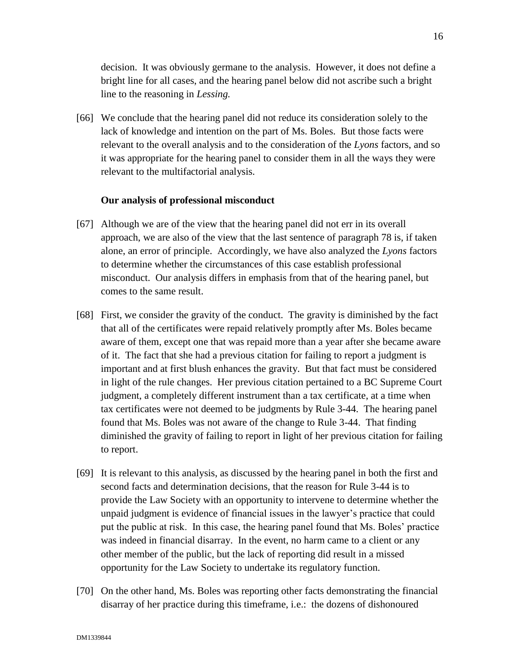decision. It was obviously germane to the analysis. However, it does not define a bright line for all cases, and the hearing panel below did not ascribe such a bright line to the reasoning in *Lessing.*

[66] We conclude that the hearing panel did not reduce its consideration solely to the lack of knowledge and intention on the part of Ms. Boles. But those facts were relevant to the overall analysis and to the consideration of the *Lyons* factors, and so it was appropriate for the hearing panel to consider them in all the ways they were relevant to the multifactorial analysis.

#### **Our analysis of professional misconduct**

- [67] Although we are of the view that the hearing panel did not err in its overall approach, we are also of the view that the last sentence of paragraph 78 is, if taken alone, an error of principle. Accordingly, we have also analyzed the *Lyons* factors to determine whether the circumstances of this case establish professional misconduct. Our analysis differs in emphasis from that of the hearing panel, but comes to the same result.
- [68] First, we consider the gravity of the conduct. The gravity is diminished by the fact that all of the certificates were repaid relatively promptly after Ms. Boles became aware of them, except one that was repaid more than a year after she became aware of it. The fact that she had a previous citation for failing to report a judgment is important and at first blush enhances the gravity. But that fact must be considered in light of the rule changes. Her previous citation pertained to a BC Supreme Court judgment, a completely different instrument than a tax certificate, at a time when tax certificates were not deemed to be judgments by Rule 3-44. The hearing panel found that Ms. Boles was not aware of the change to Rule 3-44. That finding diminished the gravity of failing to report in light of her previous citation for failing to report.
- [69] It is relevant to this analysis, as discussed by the hearing panel in both the first and second facts and determination decisions, that the reason for Rule 3-44 is to provide the Law Society with an opportunity to intervene to determine whether the unpaid judgment is evidence of financial issues in the lawyer's practice that could put the public at risk. In this case, the hearing panel found that Ms. Boles' practice was indeed in financial disarray. In the event, no harm came to a client or any other member of the public, but the lack of reporting did result in a missed opportunity for the Law Society to undertake its regulatory function.
- [70] On the other hand, Ms. Boles was reporting other facts demonstrating the financial disarray of her practice during this timeframe, i.e.: the dozens of dishonoured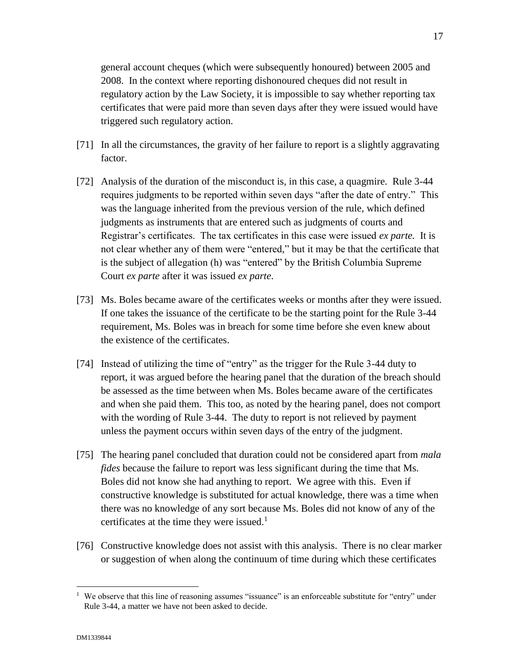general account cheques (which were subsequently honoured) between 2005 and 2008. In the context where reporting dishonoured cheques did not result in regulatory action by the Law Society, it is impossible to say whether reporting tax certificates that were paid more than seven days after they were issued would have triggered such regulatory action.

- [71] In all the circumstances, the gravity of her failure to report is a slightly aggravating factor.
- [72] Analysis of the duration of the misconduct is, in this case, a quagmire. Rule 3-44 requires judgments to be reported within seven days "after the date of entry." This was the language inherited from the previous version of the rule, which defined judgments as instruments that are entered such as judgments of courts and Registrar's certificates. The tax certificates in this case were issued *ex parte.* It is not clear whether any of them were "entered," but it may be that the certificate that is the subject of allegation (h) was "entered" by the British Columbia Supreme Court *ex parte* after it was issued *ex parte*.
- [73] Ms. Boles became aware of the certificates weeks or months after they were issued. If one takes the issuance of the certificate to be the starting point for the Rule 3-44 requirement, Ms. Boles was in breach for some time before she even knew about the existence of the certificates.
- [74] Instead of utilizing the time of "entry" as the trigger for the Rule 3-44 duty to report, it was argued before the hearing panel that the duration of the breach should be assessed as the time between when Ms. Boles became aware of the certificates and when she paid them. This too, as noted by the hearing panel, does not comport with the wording of Rule 3-44. The duty to report is not relieved by payment unless the payment occurs within seven days of the entry of the judgment.
- [75] The hearing panel concluded that duration could not be considered apart from *mala fides* because the failure to report was less significant during the time that Ms. Boles did not know she had anything to report. We agree with this. Even if constructive knowledge is substituted for actual knowledge, there was a time when there was no knowledge of any sort because Ms. Boles did not know of any of the certificates at the time they were issued. $1$
- [76] Constructive knowledge does not assist with this analysis. There is no clear marker or suggestion of when along the continuum of time during which these certificates

 $\overline{a}$ 

<sup>&</sup>lt;sup>1</sup> We observe that this line of reasoning assumes "issuance" is an enforceable substitute for "entry" under Rule 3-44, a matter we have not been asked to decide.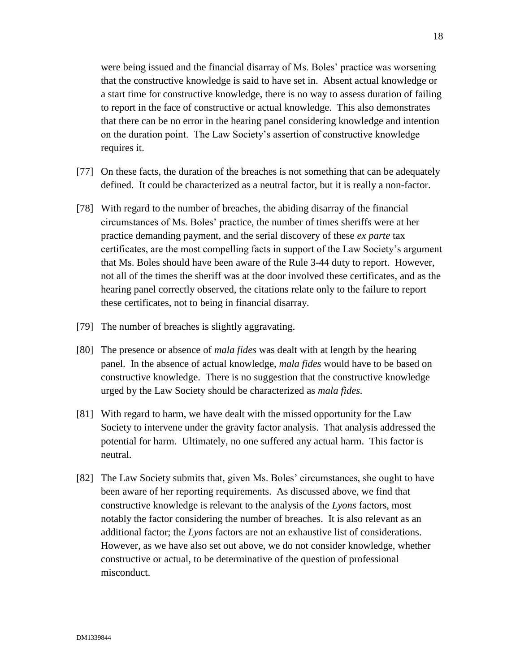were being issued and the financial disarray of Ms. Boles' practice was worsening that the constructive knowledge is said to have set in. Absent actual knowledge or a start time for constructive knowledge, there is no way to assess duration of failing to report in the face of constructive or actual knowledge. This also demonstrates that there can be no error in the hearing panel considering knowledge and intention on the duration point. The Law Society's assertion of constructive knowledge requires it.

- [77] On these facts, the duration of the breaches is not something that can be adequately defined. It could be characterized as a neutral factor, but it is really a non-factor.
- [78] With regard to the number of breaches, the abiding disarray of the financial circumstances of Ms. Boles' practice, the number of times sheriffs were at her practice demanding payment, and the serial discovery of these *ex parte* tax certificates, are the most compelling facts in support of the Law Society's argument that Ms. Boles should have been aware of the Rule 3-44 duty to report. However, not all of the times the sheriff was at the door involved these certificates, and as the hearing panel correctly observed, the citations relate only to the failure to report these certificates, not to being in financial disarray.
- [79] The number of breaches is slightly aggravating.
- [80] The presence or absence of *mala fides* was dealt with at length by the hearing panel. In the absence of actual knowledge, *mala fides* would have to be based on constructive knowledge. There is no suggestion that the constructive knowledge urged by the Law Society should be characterized as *mala fides.*
- [81] With regard to harm, we have dealt with the missed opportunity for the Law Society to intervene under the gravity factor analysis. That analysis addressed the potential for harm. Ultimately, no one suffered any actual harm. This factor is neutral.
- [82] The Law Society submits that, given Ms. Boles' circumstances, she ought to have been aware of her reporting requirements. As discussed above, we find that constructive knowledge is relevant to the analysis of the *Lyons* factors, most notably the factor considering the number of breaches. It is also relevant as an additional factor; the *Lyons* factors are not an exhaustive list of considerations. However, as we have also set out above, we do not consider knowledge, whether constructive or actual, to be determinative of the question of professional misconduct.